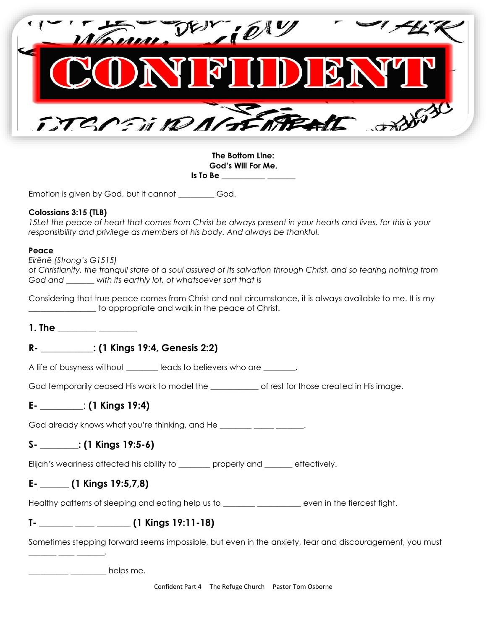

**The Bottom Line: God's Will For Me, Is To Be \_\_\_\_\_\_\_\_\_\_\_ \_\_\_\_\_\_\_**

Emotion is given by God, but it cannot God.

#### **Colossians 3:15 (TLB)**

*15Let the peace of heart that comes from Christ be always present in your hearts and lives, for this is your responsibility and privilege as members of his body. And always be thankful.*

#### **Peace**

*Eirēnē (Strong's G1515)*

*of Christianity, the tranquil state of a soul assured of its salvation through Christ, and so fearing nothing from God and \_\_\_\_\_\_\_ with its earthly lot, of whatsoever sort that is*

Considering that true peace comes from Christ and not circumstance, it is always available to me. It is my to appropriate and walk in the peace of Christ.

**1. The \_\_\_\_\_\_\_\_ \_\_\_\_\_\_\_\_**

# **R- \_\_\_\_\_\_\_\_\_\_\_: (1 Kings 19:4, Genesis 2:2)**

A life of busyness without \_\_\_\_\_\_\_\_ leads to believers who are \_\_\_\_\_\_\_\_**.** 

God temporarily ceased His work to model the entity of rest for those created in His image.

### **E- \_\_\_\_\_\_\_\_\_**: **(1 Kings 19:4)**

God already knows what you're thinking, and He **Example 20** Fig.

# **S- \_\_\_\_\_\_\_\_: (1 Kings 19:5-6)**

Elijah's weariness affected his ability to \_\_\_\_\_\_\_\_ properly and \_\_\_\_\_\_\_ effectively.

### **E- \_\_\_\_\_\_ (1 Kings 19:5,7,8)**

\_\_\_\_\_\_\_ \_\_\_\_ \_\_\_\_\_\_\_.

Healthy patterns of sleeping and eating help us to \_\_\_\_\_\_\_\_\_\_\_\_\_\_\_\_\_\_\_\_\_\_ even in the fiercest fight.

# **T- \_\_\_\_\_\_\_ \_\_\_\_ \_\_\_\_\_\_\_ (1 Kings 19:11-18)**

Sometimes stepping forward seems impossible, but even in the anxiety, fear and discouragement, you must

delps me.